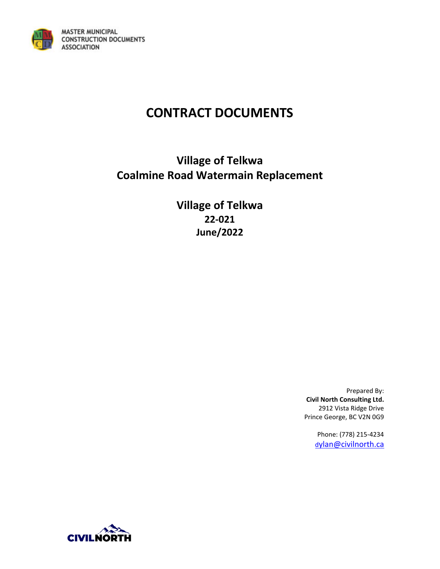

# **CONTRACT DOCUMENTS**

## **Village of Telkwa Coalmine Road Watermain Replacement**

**Village of Telkwa 22-021 June/2022**

> Prepared By: **Civil North Consulting Ltd.** 2912 Vista Ridge Drive Prince George, BC V2N 0G9

> > Phone: (778) 215-4234 [dylan@civilnorth.ca](mailto:dylan@civilnorth.ca)

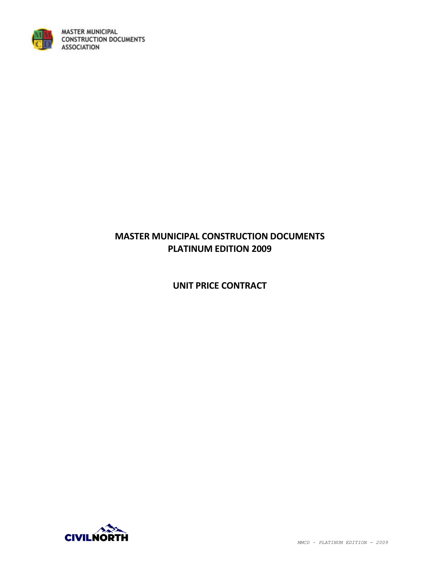

### **MASTER MUNICIPAL CONSTRUCTION DOCUMENTS PLATINUM EDITION 2009**

**UNIT PRICE CONTRACT**

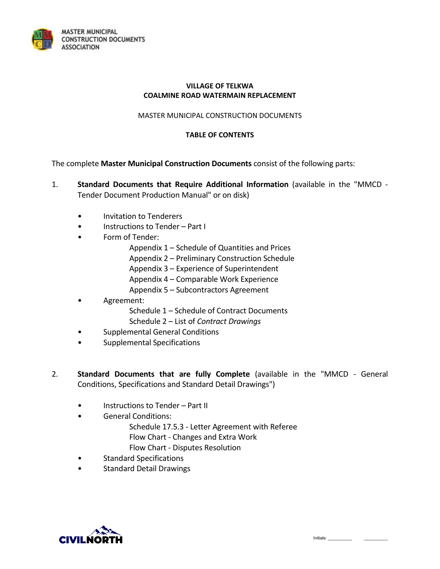

### **VILLAGE OF TELKWA COALMINE ROAD WATERMAIN REPLACEMENT**

### MASTER MUNICIPAL CONSTRUCTION DOCUMENTS

### **TABLE OF CONTENTS**

The complete **Master Municipal Construction Documents** consist of the following parts:

- 1. **Standard Documents that Require Additional Information** (available in the "MMCD Tender Document Production Manual" or on disk)
	- Invitation to Tenderers
	- Instructions to Tender Part I
	- Form of Tender:
		- Appendix 1 Schedule of Quantities and Prices
		- Appendix 2 Preliminary Construction Schedule
		- Appendix 3 Experience of Superintendent
		- Appendix 4 Comparable Work Experience
		- Appendix 5 Subcontractors Agreement

### • Agreement:

- Schedule 1 Schedule of Contract Documents
- Schedule 2 List of *Contract Drawings*
- Supplemental General Conditions
- Supplemental Specifications
- 2. **Standard Documents that are fully Complete** (available in the "MMCD General Conditions, Specifications and Standard Detail Drawings")
	- Instructions to Tender Part II
	- General Conditions:
		- Schedule 17.5.3 Letter Agreement with Referee Flow Chart - Changes and Extra Work
		- Flow Chart Disputes Resolution
	- Standard Specifications
	- Standard Detail Drawings

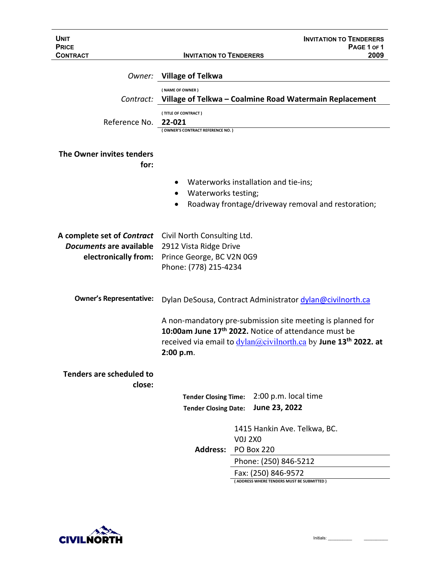| <b>UNIT</b><br><b>PRICE</b>       |                                                           | <b>INVITATION TO TENDERERS</b><br>PAGE 1 OF 1                                              |  |  |
|-----------------------------------|-----------------------------------------------------------|--------------------------------------------------------------------------------------------|--|--|
| <b>CONTRACT</b>                   | <b>INVITATION TO TENDERERS</b>                            | 2009                                                                                       |  |  |
| Owner:                            | <b>Village of Telkwa</b>                                  |                                                                                            |  |  |
| Contract:                         | (NAME OF OWNER)                                           | Village of Telkwa - Coalmine Road Watermain Replacement                                    |  |  |
| Reference No.                     | (TITLE OF CONTRACT)<br>22-021                             |                                                                                            |  |  |
|                                   | (OWNER'S CONTRACT REFERENCE NO.)                          |                                                                                            |  |  |
| The Owner invites tenders<br>for: |                                                           |                                                                                            |  |  |
|                                   | Waterworks testing;<br>٠                                  | Waterworks installation and tie-ins;<br>Roadway frontage/driveway removal and restoration; |  |  |
|                                   |                                                           |                                                                                            |  |  |
| A complete set of Contract        | Civil North Consulting Ltd.                               |                                                                                            |  |  |
| Documents are available           | 2912 Vista Ridge Drive                                    |                                                                                            |  |  |
| electronically from:              | Prince George, BC V2N 0G9<br>Phone: (778) 215-4234        |                                                                                            |  |  |
|                                   |                                                           |                                                                                            |  |  |
| <b>Owner's Representative:</b>    | Dylan DeSousa, Contract Administrator dylan@civilnorth.ca |                                                                                            |  |  |
|                                   |                                                           | A non-mandatory pre-submission site meeting is planned for                                 |  |  |
|                                   |                                                           | 10:00am June 17 <sup>th</sup> 2022. Notice of attendance must be                           |  |  |
|                                   | 2:00 p.m.                                                 | received via email to <i>dylan@civilnorth.ca</i> by June 13 <sup>th</sup> 2022. at         |  |  |
| Tenders are scheduled to          |                                                           |                                                                                            |  |  |
| close:                            |                                                           |                                                                                            |  |  |
|                                   | <b>Tender Closing Time:</b>                               | 2:00 p.m. local time                                                                       |  |  |
|                                   | <b>Tender Closing Date:</b>                               | June 23, 2022                                                                              |  |  |
|                                   |                                                           | 1415 Hankin Ave. Telkwa, BC.                                                               |  |  |
|                                   |                                                           | <b>V0J 2X0</b>                                                                             |  |  |
|                                   |                                                           | Address: PO Box 220                                                                        |  |  |
|                                   |                                                           | Phone: (250) 846-5212                                                                      |  |  |
|                                   |                                                           | Fax: (250) 846-9572<br>ADDRESS WHERE TENDERS MUST BE SUBMITTED )                           |  |  |

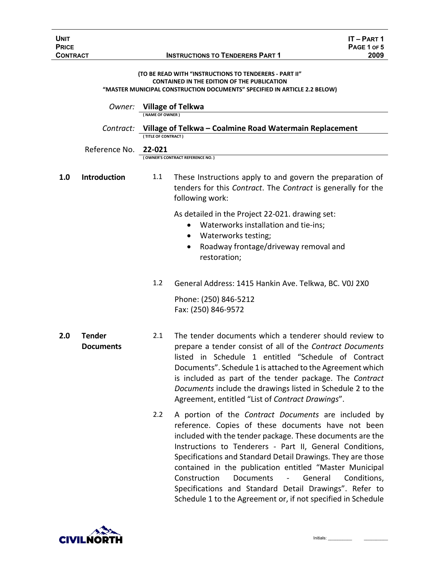| UNIT<br><b>PRICE</b> |                                         | IT – PART 1<br>PAGE 1 OF 5 |
|----------------------|-----------------------------------------|----------------------------|
| <b>CONTRACT</b>      | <b>INSTRUCTIONS TO TENDERERS PART 1</b> | 2009                       |
|                      |                                         |                            |

#### **(TO BE READ WITH "INSTRUCTIONS TO TENDERERS - PART II" CONTAINED IN THE EDITION OF THE PUBLICATION "MASTER MUNICIPAL CONSTRUCTION DOCUMENTS" SPECIFIED IN ARTICLE 2.2 BELOW)**

|     | Owner:                            | (NAME OF OWNER)     | <b>Village of Telkwa</b>                                                                                                                                                                                                                                                                                                                                                                                                                                                                           |
|-----|-----------------------------------|---------------------|----------------------------------------------------------------------------------------------------------------------------------------------------------------------------------------------------------------------------------------------------------------------------------------------------------------------------------------------------------------------------------------------------------------------------------------------------------------------------------------------------|
|     | Contract:                         | (TITLE OF CONTRACT) | Village of Telkwa - Coalmine Road Watermain Replacement                                                                                                                                                                                                                                                                                                                                                                                                                                            |
|     | Reference No.                     | 22-021              | (OWNER'S CONTRACT REFERENCE NO.)                                                                                                                                                                                                                                                                                                                                                                                                                                                                   |
| 1.0 | <b>Introduction</b>               | 1.1                 | These Instructions apply to and govern the preparation of<br>tenders for this Contract. The Contract is generally for the<br>following work:                                                                                                                                                                                                                                                                                                                                                       |
|     |                                   |                     | As detailed in the Project 22-021. drawing set:<br>Waterworks installation and tie-ins;<br>$\bullet$<br>Waterworks testing;<br>$\bullet$<br>Roadway frontage/driveway removal and<br>$\bullet$<br>restoration;                                                                                                                                                                                                                                                                                     |
|     |                                   | 1.2                 | General Address: 1415 Hankin Ave. Telkwa, BC. VOJ 2X0<br>Phone: (250) 846-5212<br>Fax: (250) 846-9572                                                                                                                                                                                                                                                                                                                                                                                              |
| 2.0 | <b>Tender</b><br><b>Documents</b> | 2.1                 | The tender documents which a tenderer should review to<br>prepare a tender consist of all of the Contract Documents<br>listed in Schedule 1 entitled "Schedule of Contract<br>Documents". Schedule 1 is attached to the Agreement which<br>is included as part of the tender package. The Contract<br>Documents include the drawings listed in Schedule 2 to the<br>Agreement, entitled "List of Contract Drawings".                                                                               |
|     |                                   | 2.2                 | A portion of the Contract Documents are included by<br>reference. Copies of these documents have not been<br>included with the tender package. These documents are the<br>Instructions to Tenderers - Part II, General Conditions,<br>Specifications and Standard Detail Drawings. They are those<br>contained in the publication entitled "Master Municipal<br>Construction<br><b>Documents</b><br>General<br>$\sim$ $-$<br>Conditions,<br>Specifications and Standard Detail Drawings". Refer to |

Initials: \_\_\_\_\_\_\_\_\_\_ \_\_\_\_\_\_\_\_\_\_

Schedule 1 to the Agreement or, if not specified in Schedule

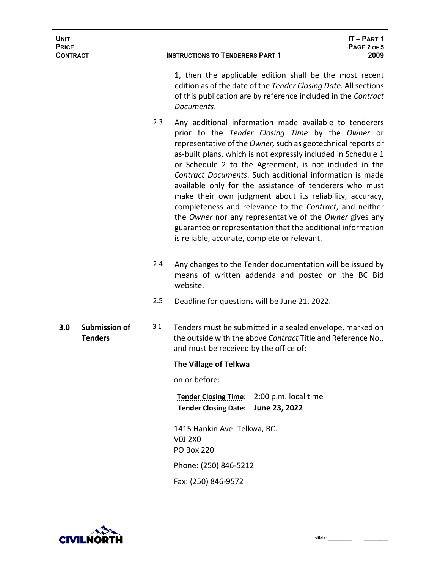| <b>UNIT</b><br><b>PRICE</b><br><b>CONTRACT</b> |                                        |     | $IT - PART 1$<br>PAGE 2 OF 5<br><b>INSTRUCTIONS TO TENDERERS PART 1</b><br>2009                                                                                                                                                                                                                                                                                                                                                                                                                                                                                                                                                                                                                                              |  |
|------------------------------------------------|----------------------------------------|-----|------------------------------------------------------------------------------------------------------------------------------------------------------------------------------------------------------------------------------------------------------------------------------------------------------------------------------------------------------------------------------------------------------------------------------------------------------------------------------------------------------------------------------------------------------------------------------------------------------------------------------------------------------------------------------------------------------------------------------|--|
|                                                |                                        |     | 1, then the applicable edition shall be the most recent<br>edition as of the date of the Tender Closing Date. All sections<br>of this publication are by reference included in the Contract<br>Documents.                                                                                                                                                                                                                                                                                                                                                                                                                                                                                                                    |  |
|                                                |                                        | 2.3 | Any additional information made available to tenderers<br>prior to the Tender Closing Time by the Owner or<br>representative of the Owner, such as geotechnical reports or<br>as-built plans, which is not expressly included in Schedule 1<br>or Schedule 2 to the Agreement, is not included in the<br>Contract Documents. Such additional information is made<br>available only for the assistance of tenderers who must<br>make their own judgment about its reliability, accuracy,<br>completeness and relevance to the Contract, and neither<br>the Owner nor any representative of the Owner gives any<br>guarantee or representation that the additional information<br>is reliable, accurate, complete or relevant. |  |
|                                                |                                        | 2.4 | Any changes to the Tender documentation will be issued by<br>means of written addenda and posted on the BC Bid<br>website.                                                                                                                                                                                                                                                                                                                                                                                                                                                                                                                                                                                                   |  |
|                                                |                                        | 2.5 | Deadline for questions will be June 21, 2022.                                                                                                                                                                                                                                                                                                                                                                                                                                                                                                                                                                                                                                                                                |  |
| 3.0                                            | <b>Submission of</b><br><b>Tenders</b> | 3.1 | Tenders must be submitted in a sealed envelope, marked on<br>the outside with the above Contract Title and Reference No.,<br>and must be received by the office of:                                                                                                                                                                                                                                                                                                                                                                                                                                                                                                                                                          |  |
|                                                |                                        |     | The Village of Telkwa                                                                                                                                                                                                                                                                                                                                                                                                                                                                                                                                                                                                                                                                                                        |  |
|                                                |                                        |     | on or before:                                                                                                                                                                                                                                                                                                                                                                                                                                                                                                                                                                                                                                                                                                                |  |
|                                                |                                        |     | Tender Closing Time: 2:00 p.m. local time<br>June 23, 2022<br><b>Tender Closing Date:</b>                                                                                                                                                                                                                                                                                                                                                                                                                                                                                                                                                                                                                                    |  |
|                                                |                                        |     | 1415 Hankin Ave. Telkwa, BC.<br><b>V0J 2X0</b><br><b>PO Box 220</b>                                                                                                                                                                                                                                                                                                                                                                                                                                                                                                                                                                                                                                                          |  |
|                                                |                                        |     | Phone: (250) 846-5212                                                                                                                                                                                                                                                                                                                                                                                                                                                                                                                                                                                                                                                                                                        |  |
|                                                |                                        |     | Fax: (250) 846-9572                                                                                                                                                                                                                                                                                                                                                                                                                                                                                                                                                                                                                                                                                                          |  |

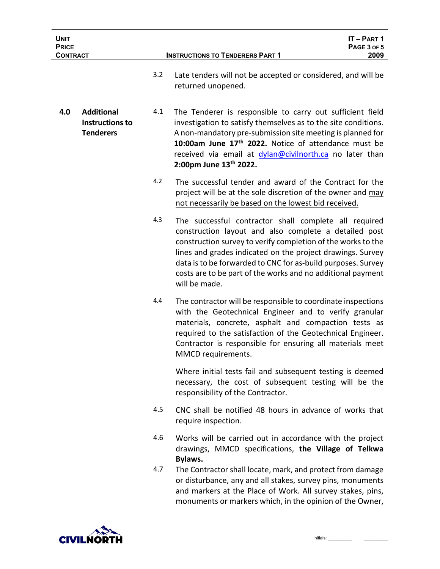| <b>UNIT</b><br><b>PRICE</b><br><b>CONTRACT</b> |                                                                 |     | $IT - PART 1$<br>PAGE 3 OF 5<br><b>INSTRUCTIONS TO TENDERERS PART 1</b><br>2009                                                                                                                                                                                                                                                                                                              |
|------------------------------------------------|-----------------------------------------------------------------|-----|----------------------------------------------------------------------------------------------------------------------------------------------------------------------------------------------------------------------------------------------------------------------------------------------------------------------------------------------------------------------------------------------|
|                                                |                                                                 | 3.2 | Late tenders will not be accepted or considered, and will be<br>returned unopened.                                                                                                                                                                                                                                                                                                           |
| 4.0                                            | <b>Additional</b><br><b>Instructions to</b><br><b>Tenderers</b> | 4.1 | The Tenderer is responsible to carry out sufficient field<br>investigation to satisfy themselves as to the site conditions.<br>A non-mandatory pre-submission site meeting is planned for<br>10:00am June 17 <sup>th</sup> 2022. Notice of attendance must be<br>received via email at dylan@civilnorth.ca no later than<br>2:00pm June 13th 2022.                                           |
|                                                |                                                                 | 4.2 | The successful tender and award of the Contract for the<br>project will be at the sole discretion of the owner and may<br>not necessarily be based on the lowest bid received.                                                                                                                                                                                                               |
|                                                |                                                                 | 4.3 | The successful contractor shall complete all required<br>construction layout and also complete a detailed post<br>construction survey to verify completion of the works to the<br>lines and grades indicated on the project drawings. Survey<br>data is to be forwarded to CNC for as-build purposes. Survey<br>costs are to be part of the works and no additional payment<br>will be made. |
|                                                |                                                                 | 4.4 | The contractor will be responsible to coordinate inspections<br>with the Geotechnical Engineer and to verify granular<br>materials, concrete, asphalt and compaction tests as<br>required to the satisfaction of the Geotechnical Engineer.<br>Contractor is responsible for ensuring all materials meet<br>MMCD requirements.                                                               |
|                                                |                                                                 |     | Where initial tests fail and subsequent testing is deemed<br>necessary, the cost of subsequent testing will be the<br>responsibility of the Contractor.                                                                                                                                                                                                                                      |
|                                                |                                                                 | 4.5 | CNC shall be notified 48 hours in advance of works that<br>require inspection.                                                                                                                                                                                                                                                                                                               |
|                                                |                                                                 | 4.6 | Works will be carried out in accordance with the project<br>drawings, MMCD specifications, the Village of Telkwa<br>Bylaws.                                                                                                                                                                                                                                                                  |
|                                                |                                                                 | 4.7 | The Contractor shall locate, mark, and protect from damage<br>or disturbance, any and all stakes, survey pins, monuments<br>and markers at the Place of Work. All survey stakes, pins,<br>monuments or markers which, in the opinion of the Owner,                                                                                                                                           |

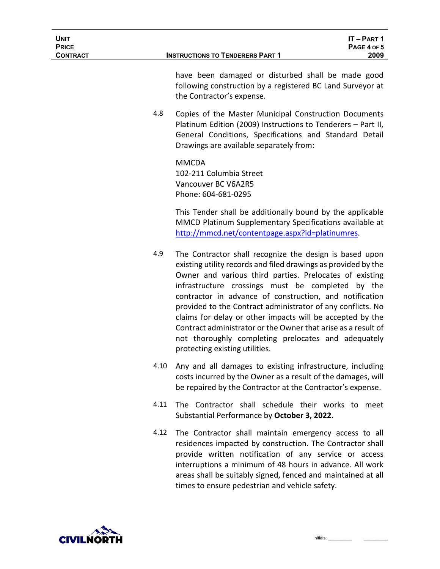| IT-PART 1<br>PAGE 4 OF 5<br><b>INSTRUCTIONS TO TENDERERS PART 1</b><br>2009                                                                                                                                                                                                                                                                                                                                                                                                                                                                                                                |
|--------------------------------------------------------------------------------------------------------------------------------------------------------------------------------------------------------------------------------------------------------------------------------------------------------------------------------------------------------------------------------------------------------------------------------------------------------------------------------------------------------------------------------------------------------------------------------------------|
| have been damaged or disturbed shall be made good<br>following construction by a registered BC Land Surveyor at<br>the Contractor's expense.                                                                                                                                                                                                                                                                                                                                                                                                                                               |
| Copies of the Master Municipal Construction Documents<br>Platinum Edition (2009) Instructions to Tenderers - Part II,<br>General Conditions, Specifications and Standard Detail<br>Drawings are available separately from:                                                                                                                                                                                                                                                                                                                                                                 |
| <b>MMCDA</b><br>102-211 Columbia Street<br>Vancouver BC V6A2R5<br>Phone: 604-681-0295                                                                                                                                                                                                                                                                                                                                                                                                                                                                                                      |
| This Tender shall be additionally bound by the applicable<br>MMCD Platinum Supplementary Specifications available at<br>http://mmcd.net/contentpage.aspx?id=platinumres.                                                                                                                                                                                                                                                                                                                                                                                                                   |
| The Contractor shall recognize the design is based upon<br>existing utility records and filed drawings as provided by the<br>Owner and various third parties. Prelocates of existing<br>infrastructure crossings must be completed by the<br>contractor in advance of construction, and notification<br>provided to the Contract administrator of any conflicts. No<br>claims for delay or other impacts will be accepted by the<br>Contract administrator or the Owner that arise as a result of<br>not thoroughly completing prelocates and adequately<br>protecting existing utilities. |
| 4.10<br>Any and all damages to existing infrastructure, including<br>costs incurred by the Owner as a result of the damages, will<br>be repaired by the Contractor at the Contractor's expense.                                                                                                                                                                                                                                                                                                                                                                                            |
| The Contractor shall schedule their works to meet<br>Substantial Performance by October 3, 2022.                                                                                                                                                                                                                                                                                                                                                                                                                                                                                           |
| The Contractor shall maintain emergency access to all<br>residences impacted by construction. The Contractor shall<br>provide written notification of any service or access<br>interruptions a minimum of 48 hours in advance. All work<br>areas shall be suitably signed, fenced and maintained at all<br>times to ensure pedestrian and vehicle safety.                                                                                                                                                                                                                                  |
| 4.11<br>4.12                                                                                                                                                                                                                                                                                                                                                                                                                                                                                                                                                                               |

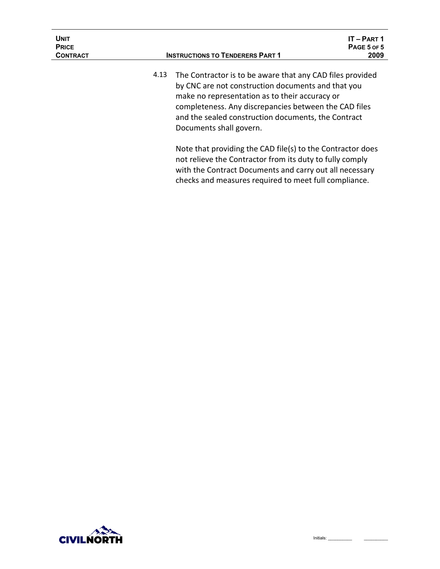| <b>UNIT</b><br><b>PRICE</b><br><b>CONTRACT</b> |      | <b>INSTRUCTIONS TO TENDERERS PART 1</b>                                                                                                                                                                                                                                                                      | IT-PART1<br>PAGE 5 OF 5<br>2009 |
|------------------------------------------------|------|--------------------------------------------------------------------------------------------------------------------------------------------------------------------------------------------------------------------------------------------------------------------------------------------------------------|---------------------------------|
|                                                | 4.13 | The Contractor is to be aware that any CAD files provided<br>by CNC are not construction documents and that you<br>make no representation as to their accuracy or<br>completeness. Any discrepancies between the CAD files<br>and the sealed construction documents, the Contract<br>Documents shall govern. |                                 |
|                                                |      | Note that providing the CAD file(s) to the Contractor does<br>not relieve the Contractor from its duty to fully comply<br>with the Contract Documents and carry out all necessary<br>checks and measures required to meet full compliance.                                                                   |                                 |

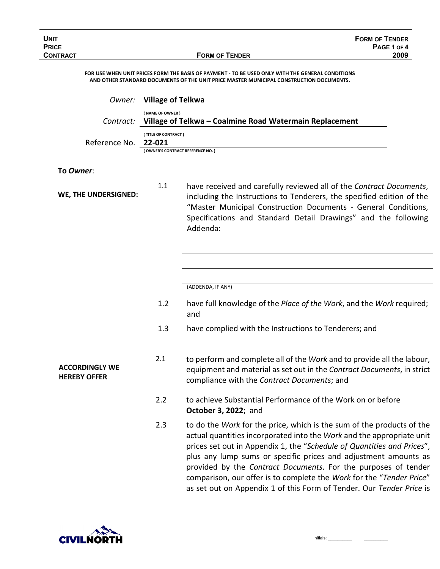| <b>UNIT</b><br><b>PRICE</b>                  |                                                                   | <b>FORM OF TENDER</b><br>PAGE 1 OF 4                                                                                                                                                                                                                                                                                                                                                                                                                                                                          |
|----------------------------------------------|-------------------------------------------------------------------|---------------------------------------------------------------------------------------------------------------------------------------------------------------------------------------------------------------------------------------------------------------------------------------------------------------------------------------------------------------------------------------------------------------------------------------------------------------------------------------------------------------|
| <b>CONTRACT</b>                              |                                                                   | <b>FORM OF TENDER</b><br>2009                                                                                                                                                                                                                                                                                                                                                                                                                                                                                 |
|                                              |                                                                   | FOR USE WHEN UNIT PRICES FORM THE BASIS OF PAYMENT - TO BE USED ONLY WITH THE GENERAL CONDITIONS<br>AND OTHER STANDARD DOCUMENTS OF THE UNIT PRICE MASTER MUNICIPAL CONSTRUCTION DOCUMENTS.                                                                                                                                                                                                                                                                                                                   |
| Owner:                                       | <b>Village of Telkwa</b>                                          |                                                                                                                                                                                                                                                                                                                                                                                                                                                                                                               |
| Contract:                                    | (NAME OF OWNER)                                                   | Village of Telkwa - Coalmine Road Watermain Replacement                                                                                                                                                                                                                                                                                                                                                                                                                                                       |
| Reference No.                                | (TITLE OF CONTRACT)<br>22-021<br>(OWNER'S CONTRACT REFERENCE NO.) |                                                                                                                                                                                                                                                                                                                                                                                                                                                                                                               |
| To Owner:                                    |                                                                   |                                                                                                                                                                                                                                                                                                                                                                                                                                                                                                               |
| WE, THE UNDERSIGNED:                         | 1.1                                                               | have received and carefully reviewed all of the Contract Documents,<br>including the Instructions to Tenderers, the specified edition of the<br>"Master Municipal Construction Documents - General Conditions,<br>Specifications and Standard Detail Drawings" and the following<br>Addenda:                                                                                                                                                                                                                  |
|                                              |                                                                   | (ADDENDA, IF ANY)                                                                                                                                                                                                                                                                                                                                                                                                                                                                                             |
|                                              | 1.2                                                               | have full knowledge of the Place of the Work, and the Work required;<br>and                                                                                                                                                                                                                                                                                                                                                                                                                                   |
|                                              | 1.3                                                               | have complied with the Instructions to Tenderers; and                                                                                                                                                                                                                                                                                                                                                                                                                                                         |
| <b>ACCORDINGLY WE</b><br><b>HEREBY OFFER</b> | 2.1                                                               | to perform and complete all of the Work and to provide all the labour,<br>equipment and material as set out in the Contract Documents, in strict<br>compliance with the Contract Documents; and                                                                                                                                                                                                                                                                                                               |
|                                              | 2.2                                                               | to achieve Substantial Performance of the Work on or before<br>October 3, 2022; and                                                                                                                                                                                                                                                                                                                                                                                                                           |
|                                              | 2.3                                                               | to do the Work for the price, which is the sum of the products of the<br>actual quantities incorporated into the Work and the appropriate unit<br>prices set out in Appendix 1, the "Schedule of Quantities and Prices",<br>plus any lump sums or specific prices and adjustment amounts as<br>provided by the Contract Documents. For the purposes of tender<br>comparison, our offer is to complete the Work for the "Tender Price"<br>as set out on Appendix 1 of this Form of Tender. Our Tender Price is |

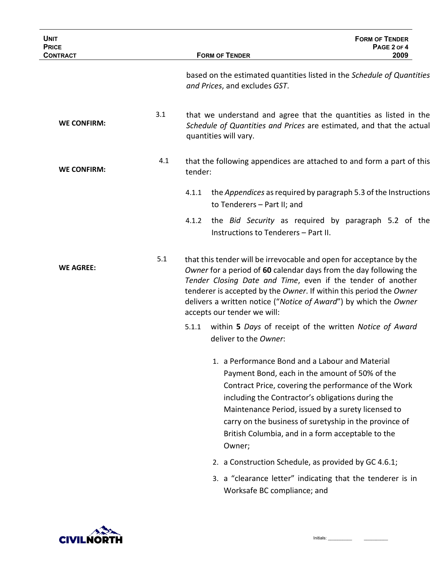| <b>UNIT</b><br><b>PRICE</b><br><b>CONTRACT</b> |     | <b>FORM OF TENDER</b>                                                                                                                                                                                                                                                                                                                                                                         | <b>FORM OF TENDER</b><br>PAGE 2 OF 4<br>2009 |
|------------------------------------------------|-----|-----------------------------------------------------------------------------------------------------------------------------------------------------------------------------------------------------------------------------------------------------------------------------------------------------------------------------------------------------------------------------------------------|----------------------------------------------|
|                                                |     | based on the estimated quantities listed in the Schedule of Quantities<br>and Prices, and excludes GST.                                                                                                                                                                                                                                                                                       |                                              |
| <b>WE CONFIRM:</b>                             | 3.1 | that we understand and agree that the quantities as listed in the<br>Schedule of Quantities and Prices are estimated, and that the actual<br>quantities will vary.                                                                                                                                                                                                                            |                                              |
| <b>WE CONFIRM:</b>                             | 4.1 | that the following appendices are attached to and form a part of this<br>tender:                                                                                                                                                                                                                                                                                                              |                                              |
|                                                |     | the Appendices as required by paragraph 5.3 of the Instructions<br>4.1.1<br>to Tenderers - Part II; and                                                                                                                                                                                                                                                                                       |                                              |
|                                                |     | the <i>Bid Security</i> as required by paragraph 5.2 of the<br>4.1.2<br>Instructions to Tenderers - Part II.                                                                                                                                                                                                                                                                                  |                                              |
| <b>WE AGREE:</b>                               | 5.1 | that this tender will be irrevocable and open for acceptance by the<br>Owner for a period of 60 calendar days from the day following the<br>Tender Closing Date and Time, even if the tender of another<br>tenderer is accepted by the Owner. If within this period the Owner<br>delivers a written notice ("Notice of Award") by which the Owner<br>accepts our tender we will:              |                                              |
|                                                |     | 5.1.1 within 5 Days of receipt of the written Notice of Award<br>deliver to the Owner:                                                                                                                                                                                                                                                                                                        |                                              |
|                                                |     | 1. a Performance Bond and a Labour and Material<br>Payment Bond, each in the amount of 50% of the<br>Contract Price, covering the performance of the Work<br>including the Contractor's obligations during the<br>Maintenance Period, issued by a surety licensed to<br>carry on the business of suretyship in the province of<br>British Columbia, and in a form acceptable to the<br>Owner; |                                              |
|                                                |     | 2. a Construction Schedule, as provided by GC 4.6.1;                                                                                                                                                                                                                                                                                                                                          |                                              |
|                                                |     | 3. a "clearance letter" indicating that the tenderer is in<br>Worksafe BC compliance; and                                                                                                                                                                                                                                                                                                     |                                              |

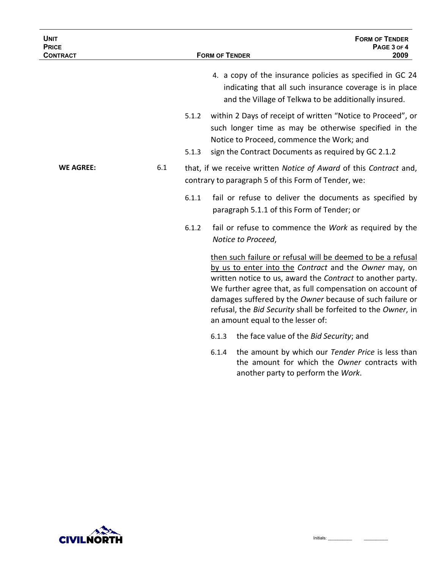| <b>UNIT</b><br><b>PRICE</b><br><b>CONTRACT</b> |     |                | <b>FORM OF TENDER</b> | <b>FORM OF TENDER</b><br>PAGE 3 OF 4<br>2009                                                                                                                                                                                                                                                                                                                                                                       |
|------------------------------------------------|-----|----------------|-----------------------|--------------------------------------------------------------------------------------------------------------------------------------------------------------------------------------------------------------------------------------------------------------------------------------------------------------------------------------------------------------------------------------------------------------------|
|                                                |     |                |                       | 4. a copy of the insurance policies as specified in GC 24<br>indicating that all such insurance coverage is in place<br>and the Village of Telkwa to be additionally insured.                                                                                                                                                                                                                                      |
|                                                |     | 5.1.2<br>5.1.3 |                       | within 2 Days of receipt of written "Notice to Proceed", or<br>such longer time as may be otherwise specified in the<br>Notice to Proceed, commence the Work; and<br>sign the Contract Documents as required by GC 2.1.2                                                                                                                                                                                           |
| <b>WE AGREE:</b>                               | 6.1 |                |                       | that, if we receive written Notice of Award of this Contract and,<br>contrary to paragraph 5 of this Form of Tender, we:                                                                                                                                                                                                                                                                                           |
|                                                |     | 6.1.1          |                       | fail or refuse to deliver the documents as specified by<br>paragraph 5.1.1 of this Form of Tender; or                                                                                                                                                                                                                                                                                                              |
|                                                |     | 6.1.2          |                       | fail or refuse to commence the Work as required by the<br>Notice to Proceed,                                                                                                                                                                                                                                                                                                                                       |
|                                                |     |                |                       | then such failure or refusal will be deemed to be a refusal<br>by us to enter into the Contract and the Owner may, on<br>written notice to us, award the Contract to another party.<br>We further agree that, as full compensation on account of<br>damages suffered by the Owner because of such failure or<br>refusal, the Bid Security shall be forfeited to the Owner, in<br>an amount equal to the lesser of: |
|                                                |     |                | 6.1.3                 | the face value of the Bid Security; and                                                                                                                                                                                                                                                                                                                                                                            |
|                                                |     |                | 6.1.4                 | the amount by which our Tender Price is less than<br>the amount for which the Owner contracts with<br>another party to perform the Work.                                                                                                                                                                                                                                                                           |

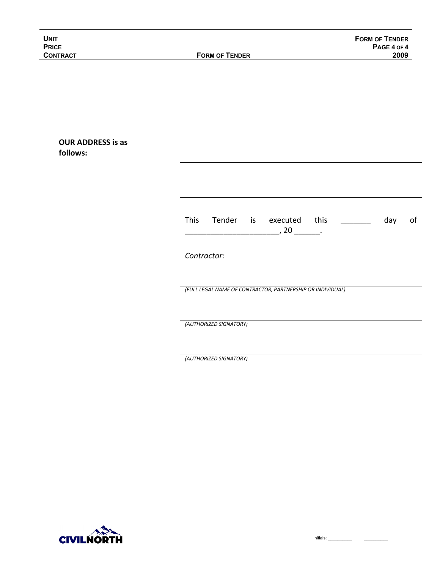### **OUR ADDRESS is as follows:**

| <b>This</b> |                        | Tender is executed this<br>$, 20$ $\_$                     |  | day | of |
|-------------|------------------------|------------------------------------------------------------|--|-----|----|
| Contractor: |                        |                                                            |  |     |    |
|             |                        | (FULL LEGAL NAME OF CONTRACTOR, PARTNERSHIP OR INDIVIDUAL) |  |     |    |
|             | (AUTHORIZED SIGNATORY) |                                                            |  |     |    |

Initials: \_\_\_\_\_\_\_\_\_\_ \_\_\_\_\_\_\_\_\_\_

*(AUTHORIZED SIGNATORY)*

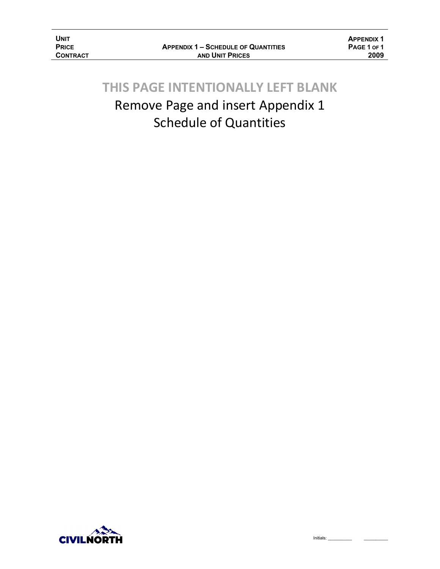| UNIT            |
|-----------------|
| <b>PRICE</b>    |
| <b>CONTRACT</b> |

# **THIS PAGE INTENTIONALLY LEFT BLANK**

Remove Page and insert Appendix 1 Schedule of Quantities

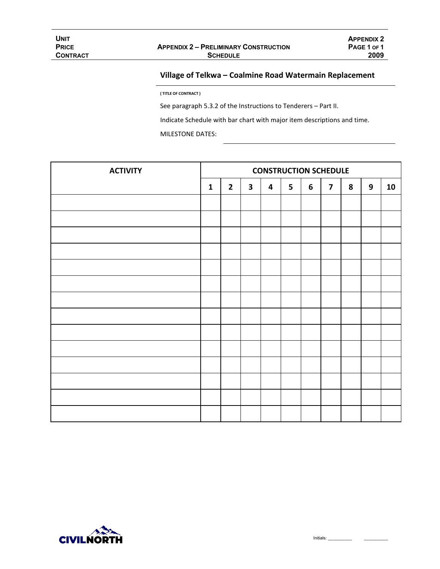### **Village of Telkwa – Coalmine Road Watermain Replacement**

**( TITLE OF CONTRACT )**

See paragraph 5.3.2 of the Instructions to Tenderers – Part II.

Indicate Schedule with bar chart with major item descriptions and time.

MILESTONE DATES:

| <b>ACTIVITY</b> | <b>CONSTRUCTION SCHEDULE</b> |                |              |                         |   |   |                         |   |   |    |
|-----------------|------------------------------|----------------|--------------|-------------------------|---|---|-------------------------|---|---|----|
|                 | $\mathbf{1}$                 | $\overline{2}$ | $\mathbf{3}$ | $\overline{\mathbf{4}}$ | 5 | 6 | $\overline{\mathbf{z}}$ | 8 | 9 | 10 |
|                 |                              |                |              |                         |   |   |                         |   |   |    |
|                 |                              |                |              |                         |   |   |                         |   |   |    |
|                 |                              |                |              |                         |   |   |                         |   |   |    |
|                 |                              |                |              |                         |   |   |                         |   |   |    |
|                 |                              |                |              |                         |   |   |                         |   |   |    |
|                 |                              |                |              |                         |   |   |                         |   |   |    |
|                 |                              |                |              |                         |   |   |                         |   |   |    |
|                 |                              |                |              |                         |   |   |                         |   |   |    |
|                 |                              |                |              |                         |   |   |                         |   |   |    |
|                 |                              |                |              |                         |   |   |                         |   |   |    |
|                 |                              |                |              |                         |   |   |                         |   |   |    |
|                 |                              |                |              |                         |   |   |                         |   |   |    |
|                 |                              |                |              |                         |   |   |                         |   |   |    |
|                 |                              |                |              |                         |   |   |                         |   |   |    |

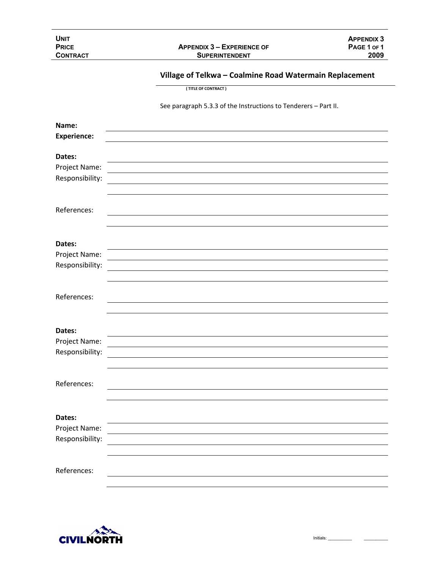| Unit            |                                   | <b>APPENDIX 3</b> |
|-----------------|-----------------------------------|-------------------|
| <b>PRICE</b>    | <b>APPENDIX 3 - EXPERIENCE OF</b> | PAGE 1 OF 1       |
| <b>CONTRACT</b> | <b>SUPERINTENDENT</b>             | 2009              |

### **Village of Telkwa – Coalmine Road Watermain Replacement**

**( TITLE OF CONTRACT )** 

### See paragraph 5.3.3 of the Instructions to Tenderers – Part II.

| Name:              |  |
|--------------------|--|
| <b>Experience:</b> |  |
|                    |  |
| Dates:             |  |
| Project Name:      |  |
| Responsibility:    |  |
|                    |  |
| References:        |  |
|                    |  |
|                    |  |
| Dates:             |  |
| Project Name:      |  |
| Responsibility:    |  |
|                    |  |
| References:        |  |
|                    |  |
|                    |  |
| Dates:             |  |
| Project Name:      |  |
| Responsibility:    |  |
|                    |  |
|                    |  |
| References:        |  |
|                    |  |
|                    |  |
| Dates:             |  |
| Project Name:      |  |
| Responsibility:    |  |
|                    |  |
| References:        |  |
|                    |  |
|                    |  |

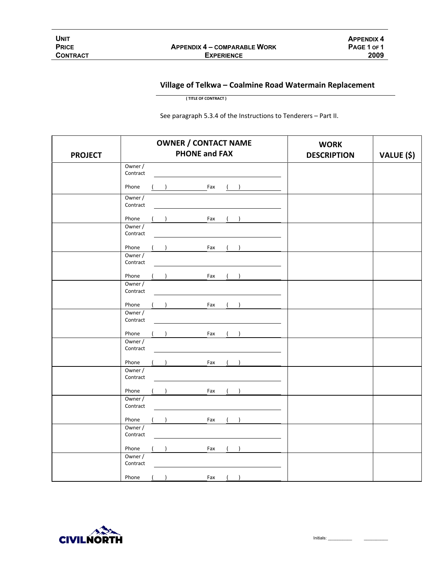Initials: \_\_\_\_\_\_\_\_\_\_ \_\_\_\_\_\_\_\_\_\_

### **Village of Telkwa – Coalmine Road Watermain Replacement**

**( TITLE OF CONTRACT )** 

See paragraph 5.3.4 of the Instructions to Tenderers – Part II.

| <b>PROJECT</b> | <b>OWNER / CONTACT NAME</b><br><b>PHONE and FAX</b> | <b>WORK</b><br><b>DESCRIPTION</b> | VALUE (\$) |
|----------------|-----------------------------------------------------|-----------------------------------|------------|
|                | Owner /<br>Contract                                 |                                   |            |
|                | Phone<br>Fax                                        |                                   |            |
|                | Owner /<br>Contract                                 |                                   |            |
|                | Phone<br>Fax                                        |                                   |            |
|                | Owner /<br>Contract                                 |                                   |            |
|                | Phone<br>Fax                                        |                                   |            |
|                | Owner /<br>Contract                                 |                                   |            |
|                | Phone<br>Fax                                        |                                   |            |
|                | Owner /<br>Contract                                 |                                   |            |
|                | Phone<br>Fax                                        |                                   |            |
|                | Owner /<br>Contract                                 |                                   |            |
|                | Phone<br>Fax                                        |                                   |            |
|                | Owner /<br>Contract                                 |                                   |            |
|                | Phone<br>Fax                                        |                                   |            |
|                | Owner /<br>Contract                                 |                                   |            |
|                | Phone<br>Fax                                        |                                   |            |
|                | Owner /<br>Contract                                 |                                   |            |
|                | Phone<br>Fax                                        |                                   |            |
|                | Owner /<br>Contract                                 |                                   |            |
|                | Phone<br>Fax                                        |                                   |            |
|                | Owner /<br>Contract                                 |                                   |            |
|                | Phone<br>Fax                                        |                                   |            |

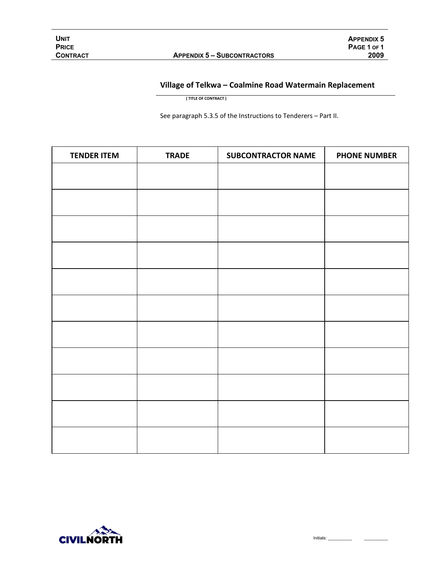| Unit            |
|-----------------|
| <b>PRICE</b>    |
| <b>CONTRACT</b> |

### **Village of Telkwa – Coalmine Road Watermain Replacement**

**( TITLE OF CONTRACT )** 

See paragraph 5.3.5 of the Instructions to Tenderers – Part II.

| <b>TENDER ITEM</b> | <b>TRADE</b> | <b>SUBCONTRACTOR NAME</b> | <b>PHONE NUMBER</b> |
|--------------------|--------------|---------------------------|---------------------|
|                    |              |                           |                     |
|                    |              |                           |                     |
|                    |              |                           |                     |
|                    |              |                           |                     |
|                    |              |                           |                     |
|                    |              |                           |                     |
|                    |              |                           |                     |
|                    |              |                           |                     |
|                    |              |                           |                     |
|                    |              |                           |                     |
|                    |              |                           |                     |
|                    |              |                           |                     |

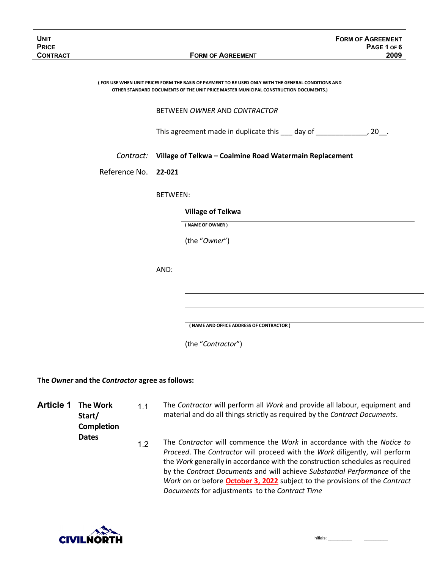**( FOR USE WHEN UNIT PRICES FORM THE BASIS OF PAYMENT TO BE USED ONLY WITH THE GENERAL CONDITIONS AND OTHER STANDARD DOCUMENTS OF THE UNIT PRICE MASTER MUNICIPAL CONSTRUCTION DOCUMENTS.)**

#### BETWEEN *OWNER* AND *CONTRACTOR*

This agreement made in duplicate this \_\_\_ day of \_\_\_\_\_\_\_\_\_\_\_\_\_, 20\_.

#### *Contract:* **Village of Telkwa – Coalmine Road Watermain Replacement**

Reference No. **22-021**

#### BETWEEN:

#### **Village of Telkwa**

**( NAME OF OWNER )**

(the "*Owner*")

AND:

**( NAME AND OFFICE ADDRESS OF CONTRACTOR )**

(the "*Contractor*")

#### **The** *Owner* **and the** *Contractor* **agree as follows:**

| <b>Article 1</b> | The Work<br>Start/<br><b>Completion</b> | 11  | The Contractor will perform all Work and provide all labour, equipment and<br>material and do all things strictly as required by the Contract Documents.                                                                                                                                                                                                                                          |
|------------------|-----------------------------------------|-----|---------------------------------------------------------------------------------------------------------------------------------------------------------------------------------------------------------------------------------------------------------------------------------------------------------------------------------------------------------------------------------------------------|
|                  | <b>Dates</b>                            | 1.2 | The Contractor will commence the Work in accordance with the Notice to<br>Proceed. The Contractor will proceed with the Work diligently, will perform<br>the Work generally in accordance with the construction schedules as required<br>by the Contract Documents and will achieve Substantial Performance of the<br>Work on or before October 3, 2022 subject to the provisions of the Contract |

*Documents* for adjustments to the *Contract Time*



Initials: \_\_\_\_\_\_\_\_\_\_ \_\_\_\_\_\_\_\_\_\_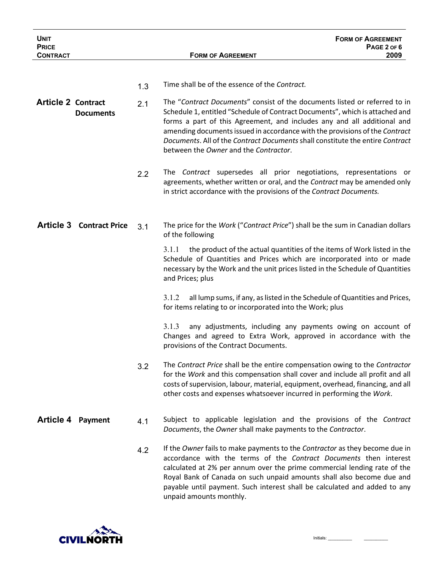| <b>UNIT</b><br><b>PRICE</b><br><b>CONTRACT</b> |                                 |     | <b>FORM OF AGREEMENT</b><br>PAGE 2 OF 6<br><b>FORM OF AGREEMENT</b><br>2009                                                                                                                                                                                                                                                                                                                                                                    |
|------------------------------------------------|---------------------------------|-----|------------------------------------------------------------------------------------------------------------------------------------------------------------------------------------------------------------------------------------------------------------------------------------------------------------------------------------------------------------------------------------------------------------------------------------------------|
|                                                |                                 | 1.3 | Time shall be of the essence of the Contract.                                                                                                                                                                                                                                                                                                                                                                                                  |
| <b>Article 2 Contract</b>                      | <b>Documents</b>                | 2.1 | The "Contract Documents" consist of the documents listed or referred to in<br>Schedule 1, entitled "Schedule of Contract Documents", which is attached and<br>forms a part of this Agreement, and includes any and all additional and<br>amending documents issued in accordance with the provisions of the Contract<br>Documents. All of the Contract Documents shall constitute the entire Contract<br>between the Owner and the Contractor. |
|                                                |                                 | 2.2 | The Contract supersedes all prior negotiations, representations or<br>agreements, whether written or oral, and the Contract may be amended only<br>in strict accordance with the provisions of the Contract Documents.                                                                                                                                                                                                                         |
|                                                | <b>Article 3 Contract Price</b> | 3.1 | The price for the Work ("Contract Price") shall be the sum in Canadian dollars<br>of the following                                                                                                                                                                                                                                                                                                                                             |
|                                                |                                 |     | 3.1.1<br>the product of the actual quantities of the items of Work listed in the<br>Schedule of Quantities and Prices which are incorporated into or made<br>necessary by the Work and the unit prices listed in the Schedule of Quantities<br>and Prices; plus                                                                                                                                                                                |
|                                                |                                 |     | 3.1.2<br>all lump sums, if any, as listed in the Schedule of Quantities and Prices,<br>for items relating to or incorporated into the Work; plus                                                                                                                                                                                                                                                                                               |
|                                                |                                 |     | 3.1.3<br>any adjustments, including any payments owing on account of<br>Changes and agreed to Extra Work, approved in accordance with the<br>provisions of the Contract Documents.                                                                                                                                                                                                                                                             |
|                                                |                                 | 3.2 | The Contract Price shall be the entire compensation owing to the Contractor<br>for the Work and this compensation shall cover and include all profit and all<br>costs of supervision, labour, material, equipment, overhead, financing, and all<br>other costs and expenses whatsoever incurred in performing the Work.                                                                                                                        |
| <b>Article 4</b>                               | Payment                         | 4.1 | Subject to applicable legislation and the provisions of the Contract<br>Documents, the Owner shall make payments to the Contractor.                                                                                                                                                                                                                                                                                                            |
|                                                |                                 | 4.2 | If the Owner fails to make payments to the Contractor as they become due in<br>accordance with the terms of the Contract Documents then interest<br>calculated at 2% per annum over the prime commercial lending rate of the<br>Royal Bank of Canada on such unpaid amounts shall also become due and<br>payable until payment. Such interest shall be calculated and added to any<br>unpaid amounts monthly.                                  |

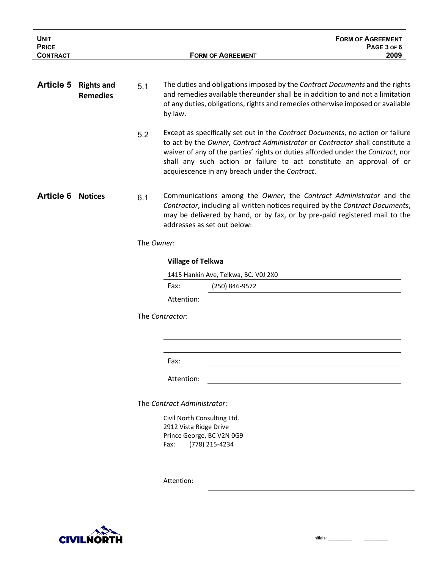| <b>UNIT</b><br><b>PRICE</b><br><b>CONTRACT</b> |                                      | <b>FORM OF AGREEMENT</b><br>PAGE 3 OF 6<br><b>FORM OF AGREEMENT</b><br>2009                                                                                                                                                                                                                                                                                                        |
|------------------------------------------------|--------------------------------------|------------------------------------------------------------------------------------------------------------------------------------------------------------------------------------------------------------------------------------------------------------------------------------------------------------------------------------------------------------------------------------|
| <b>Article 5</b>                               | <b>Rights and</b><br><b>Remedies</b> | The duties and obligations imposed by the Contract Documents and the rights<br>5.1<br>and remedies available thereunder shall be in addition to and not a limitation<br>of any duties, obligations, rights and remedies otherwise imposed or available<br>by law.                                                                                                                  |
|                                                |                                      | Except as specifically set out in the Contract Documents, no action or failure<br>5.2<br>to act by the Owner, Contract Administrator or Contractor shall constitute a<br>waiver of any of the parties' rights or duties afforded under the Contract, nor<br>shall any such action or failure to act constitute an approval of or<br>acquiescence in any breach under the Contract. |
| <b>Article 6</b>                               | <b>Notices</b>                       | Communications among the Owner, the Contract Administrator and the<br>6.1<br>Contractor, including all written notices required by the Contract Documents,<br>may be delivered by hand, or by fax, or by pre-paid registered mail to the<br>addresses as set out below:                                                                                                            |
|                                                |                                      | The Owner:                                                                                                                                                                                                                                                                                                                                                                         |
|                                                |                                      | <b>Village of Telkwa</b>                                                                                                                                                                                                                                                                                                                                                           |
|                                                |                                      | 1415 Hankin Ave, Telkwa, BC. VOJ 2X0                                                                                                                                                                                                                                                                                                                                               |
|                                                |                                      | Fax:<br>(250) 846-9572                                                                                                                                                                                                                                                                                                                                                             |
|                                                |                                      | Attention:                                                                                                                                                                                                                                                                                                                                                                         |
|                                                |                                      | The Contractor:                                                                                                                                                                                                                                                                                                                                                                    |
|                                                |                                      |                                                                                                                                                                                                                                                                                                                                                                                    |
|                                                |                                      | Fax:                                                                                                                                                                                                                                                                                                                                                                               |
|                                                |                                      | Attention:                                                                                                                                                                                                                                                                                                                                                                         |
|                                                |                                      | The Contract Administrator:                                                                                                                                                                                                                                                                                                                                                        |
|                                                |                                      | Civil North Consulting Ltd.<br>2912 Vista Ridge Drive<br>Prince George, BC V2N 0G9<br>(778) 215-4234<br>Fax:                                                                                                                                                                                                                                                                       |
|                                                |                                      | Attention:                                                                                                                                                                                                                                                                                                                                                                         |

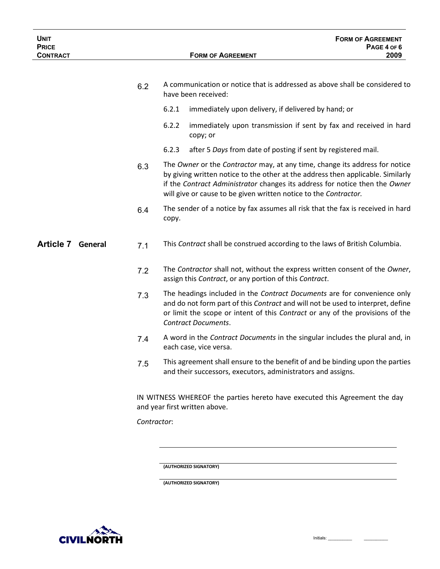| <b>UNIT</b><br><b>PRICE</b> |             | <b>FORM OF AGREEMENT</b><br>PAGE 4 OF 6                                                                                                                                                                                                                                                                           |
|-----------------------------|-------------|-------------------------------------------------------------------------------------------------------------------------------------------------------------------------------------------------------------------------------------------------------------------------------------------------------------------|
| <b>CONTRACT</b>             |             | 2009<br><b>FORM OF AGREEMENT</b>                                                                                                                                                                                                                                                                                  |
|                             | 6.2         | A communication or notice that is addressed as above shall be considered to<br>have been received:                                                                                                                                                                                                                |
|                             |             | 6.2.1<br>immediately upon delivery, if delivered by hand; or                                                                                                                                                                                                                                                      |
|                             |             | 6.2.2<br>immediately upon transmission if sent by fax and received in hard<br>copy; or                                                                                                                                                                                                                            |
|                             |             | 6.2.3<br>after 5 Days from date of posting if sent by registered mail.                                                                                                                                                                                                                                            |
|                             | 6.3         | The Owner or the Contractor may, at any time, change its address for notice<br>by giving written notice to the other at the address then applicable. Similarly<br>if the Contract Administrator changes its address for notice then the Owner<br>will give or cause to be given written notice to the Contractor. |
|                             | 6.4         | The sender of a notice by fax assumes all risk that the fax is received in hard<br>copy.                                                                                                                                                                                                                          |
| <b>Article 7</b><br>General | 7.1         | This Contract shall be construed according to the laws of British Columbia.                                                                                                                                                                                                                                       |
|                             | 7.2         | The Contractor shall not, without the express written consent of the Owner,<br>assign this Contract, or any portion of this Contract.                                                                                                                                                                             |
|                             | 7.3         | The headings included in the Contract Documents are for convenience only<br>and do not form part of this Contract and will not be used to interpret, define<br>or limit the scope or intent of this Contract or any of the provisions of the<br><b>Contract Documents.</b>                                        |
|                             | 7.4         | A word in the Contract Documents in the singular includes the plural and, in<br>each case, vice versa.                                                                                                                                                                                                            |
|                             | 7.5         | This agreement shall ensure to the benefit of and be binding upon the parties<br>and their successors, executors, administrators and assigns.                                                                                                                                                                     |
|                             |             | IN WITNESS WHEREOF the parties hereto have executed this Agreement the day<br>and year first written above.                                                                                                                                                                                                       |
|                             | Contractor: |                                                                                                                                                                                                                                                                                                                   |
|                             |             |                                                                                                                                                                                                                                                                                                                   |
|                             |             | (AUTHORIZED SIGNATORY)                                                                                                                                                                                                                                                                                            |

**(AUTHORIZED SIGNATORY)**

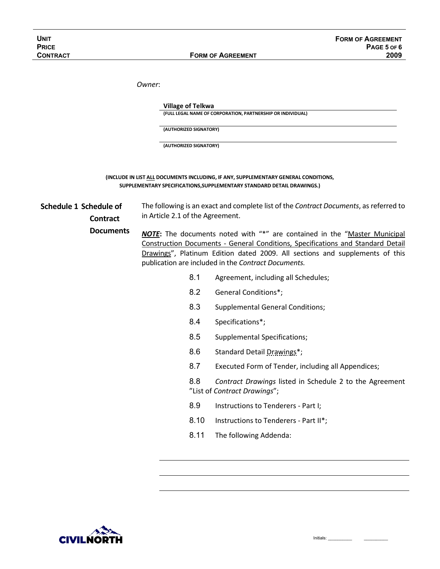**CONTRACT FORM OF AGREEMENT** 

*Owner*:

**Village of Telkwa**

**(FULL LEGAL NAME OF CORPORATION, PARTNERSHIP OR INDIVIDUAL)**

**(AUTHORIZED SIGNATORY)**

**(AUTHORIZED SIGNATORY)**

#### **(INCLUDE IN LIST ALL DOCUMENTS INCLUDING, IF ANY, SUPPLEMENTARY GENERAL CONDITIONS, SUPPLEMENTARY SPECIFICATIONS,SUPPLEMENTARY STANDARD DETAIL DRAWINGS.)**

**Schedule 1 Schedule of Contract**  The following is an exact and complete list of the *Contract Documents*, as referred to in Article 2.1 of the Agreement.

**Documents**

*NOTE***:** The documents noted with "\*" are contained in the "Master Municipal Construction Documents - General Conditions, Specifications and Standard Detail Drawings", Platinum Edition dated 2009. All sections and supplements of this publication are included in the *Contract Documents.*

- 8.1 Agreement, including all Schedules;
- 8.2 General Conditions\*;
- 8.3 Supplemental General Conditions;
- 8.4 Specifications\*;
- 8.5 Supplemental Specifications;
- 8.6 Standard Detail Drawings\*;
- 8.7 Executed Form of Tender, including all Appendices;
- 8.8 *Contract Drawings* listed in Schedule 2 to the Agreement "List of *Contract Drawings*";

Initials:

- 8.9 Instructions to Tenderers Part I;
- 8.10 Instructions to Tenderers Part II\*;
- 8.11 The following Addenda:

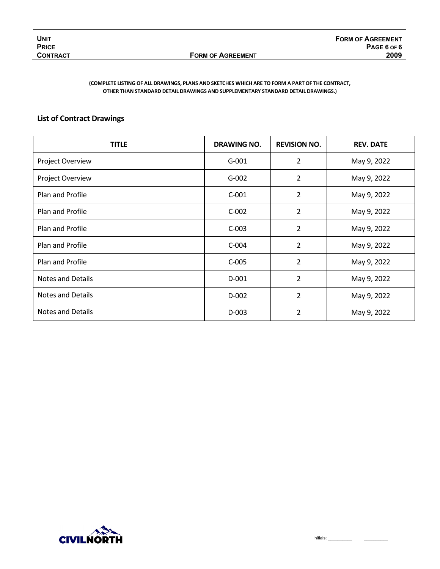Initials:

#### **(COMPLETE LISTING OF ALL DRAWINGS, PLANS AND SKETCHES WHICH ARE TO FORM A PART OF THE CONTRACT, OTHER THAN STANDARD DETAIL DRAWINGS AND SUPPLEMENTARY STANDARD DETAIL DRAWINGS.)**

### **List of Contract Drawings**

| <b>TITLE</b>             | DRAWING NO. | <b>REVISION NO.</b> | <b>REV. DATE</b> |
|--------------------------|-------------|---------------------|------------------|
| Project Overview         | $G - 001$   | 2                   | May 9, 2022      |
| Project Overview         | $G-002$     | 2                   | May 9, 2022      |
| Plan and Profile         | $C-001$     | $\overline{2}$      | May 9, 2022      |
| Plan and Profile         | $C-002$     | $\overline{2}$      | May 9, 2022      |
| Plan and Profile         | $C-003$     | 2                   | May 9, 2022      |
| Plan and Profile         | $C-004$     | 2                   | May 9, 2022      |
| Plan and Profile         | $C-005$     | $\overline{2}$      | May 9, 2022      |
| Notes and Details        | $D-001$     | 2                   | May 9, 2022      |
| <b>Notes and Details</b> | D-002       | 2                   | May 9, 2022      |
| <b>Notes and Details</b> | D-003       | 2                   | May 9, 2022      |

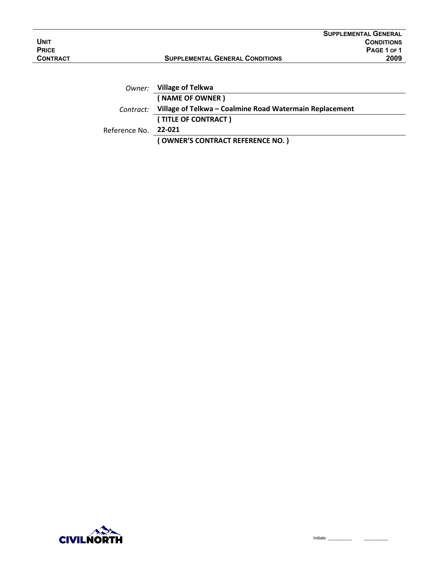|                 |                                        | <b>SUPPLEMENTAL GENERAL</b> |
|-----------------|----------------------------------------|-----------------------------|
| <b>UNIT</b>     |                                        | <b>CONDITIONS</b>           |
| <b>PRICE</b>    |                                        | PAGE 1 OF 1                 |
| <b>CONTRACT</b> | <b>SUPPLEMENTAL GENERAL CONDITIONS</b> | 2009                        |
|                 |                                        |                             |

|                      | Owner: Village of Telkwa                                          |  |  |
|----------------------|-------------------------------------------------------------------|--|--|
|                      | (NAME OF OWNER)                                                   |  |  |
|                      | Contract: Village of Telkwa - Coalmine Road Watermain Replacement |  |  |
|                      | (TITLE OF CONTRACT)                                               |  |  |
| Reference No. 22-021 |                                                                   |  |  |
|                      | (OWNER'S CONTRACT REFERENCE NO.)                                  |  |  |
|                      |                                                                   |  |  |

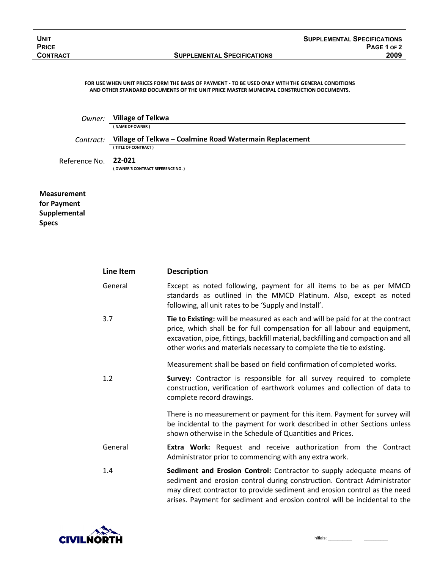#### **FOR USE WHEN UNIT PRICES FORM THE BASIS OF PAYMENT - TO BE USED ONLY WITH THE GENERAL CONDITIONS AND OTHER STANDARD DOCUMENTS OF THE UNIT PRICE MASTER MUNICIPAL CONSTRUCTION DOCUMENTS.**

| Owner:               | Village of Telkwa                                                               |
|----------------------|---------------------------------------------------------------------------------|
|                      | (NAME OF OWNER)                                                                 |
| Contract:            | Village of Telkwa - Coalmine Road Watermain Replacement<br>(TITLE OF CONTRACT ) |
| Reference No. 22-021 |                                                                                 |
|                      | (OWNER'S CONTRACT REFERENCE NO.)                                                |

**Measurement for Payment Supplemental Specs**

| Line Item | <b>Description</b>                                                                                                                                                                                                                                                                                                       |  |
|-----------|--------------------------------------------------------------------------------------------------------------------------------------------------------------------------------------------------------------------------------------------------------------------------------------------------------------------------|--|
| General   | Except as noted following, payment for all items to be as per MMCD<br>standards as outlined in the MMCD Platinum. Also, except as noted<br>following, all unit rates to be 'Supply and Install'.                                                                                                                         |  |
| 3.7       | Tie to Existing: will be measured as each and will be paid for at the contract<br>price, which shall be for full compensation for all labour and equipment,<br>excavation, pipe, fittings, backfill material, backfilling and compaction and all<br>other works and materials necessary to complete the tie to existing. |  |
|           | Measurement shall be based on field confirmation of completed works.                                                                                                                                                                                                                                                     |  |
| 1.2       | Survey: Contractor is responsible for all survey required to complete<br>construction, verification of earthwork volumes and collection of data to<br>complete record drawings.                                                                                                                                          |  |
|           | There is no measurement or payment for this item. Payment for survey will<br>be incidental to the payment for work described in other Sections unless<br>shown otherwise in the Schedule of Quantities and Prices.                                                                                                       |  |
| General   | <b>Extra Work:</b> Request and receive authorization from the Contract<br>Administrator prior to commencing with any extra work.                                                                                                                                                                                         |  |
| 1.4       | Sediment and Erosion Control: Contractor to supply adequate means of<br>sediment and erosion control during construction. Contract Administrator<br>may direct contractor to provide sediment and erosion control as the need<br>arises. Payment for sediment and erosion control will be incidental to the              |  |